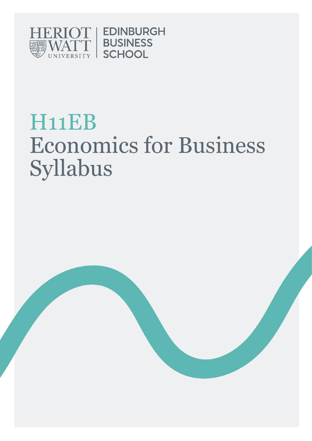

# H11EB Economics for Business Syllabus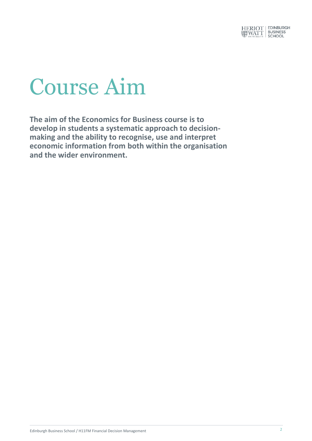

# Course Aim

**The aim of the Economics for Business course is to develop in students a systematic approach to decisionmaking and the ability to recognise, use and interpret economic information from both within the organisation and the wider environment.**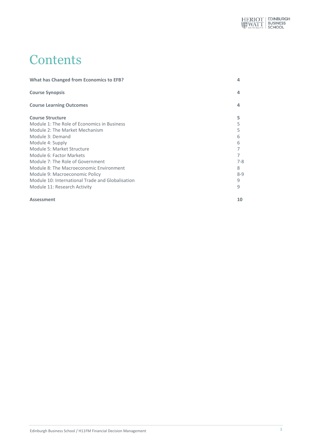

## **Contents**

| <b>What has Changed from Economics to EFB?</b>   |         |
|--------------------------------------------------|---------|
| <b>Course Synopsis</b>                           | 4       |
| <b>Course Learning Outcomes</b>                  | 4       |
| <b>Course Structure</b>                          | 5       |
| Module 1: The Role of Economics in Business      |         |
| Module 2: The Market Mechanism                   |         |
| Module 3: Demand                                 | 6       |
| Module 4: Supply                                 | 6       |
| Module 5: Market Structure                       |         |
| Module 6: Factor Markets                         |         |
| Module 7: The Role of Government                 | $7 - 8$ |
| Module 8: The Macroeconomic Environment          | 8       |
| Module 9: Macroeconomic Policy                   | $8 - 9$ |
| Module 10: International Trade and Globalisation | 9       |
| Module 11: Research Activity                     | 9       |

#### **Assessment 10**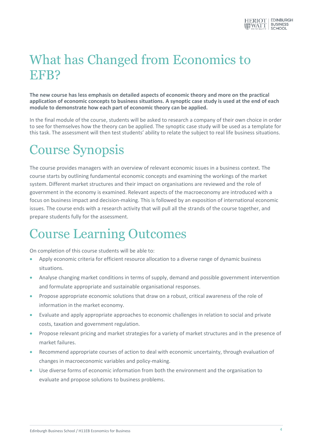

# What has Changed from Economics to EFB?

**The new course has less emphasis on detailed aspects of economic theory and more on the practical application of economic concepts to business situations. A synoptic case study is used at the end of each module to demonstrate how each part of economic theory can be applied.** 

In the final module of the course, students will be asked to research a company of their own choice in order to see for themselves how the theory can be applied. The synoptic case study will be used as a template for this task. The assessment will then test students' ability to relate the subject to real life business situations.

# Course Synopsis

The course provides managers with an overview of relevant economic issues in a business context. The course starts by outlining fundamental economic concepts and examining the workings of the market system. Different market structures and their impact on organisations are reviewed and the role of government in the economy is examined. Relevant aspects of the macroeconomy are introduced with a focus on business impact and decision-making. This is followed by an exposition of international economic issues. The course ends with a research activity that will pull all the strands of the course together, and prepare students fully for the assessment.

## Course Learning Outcomes

On completion of this course students will be able to:

- Apply economic criteria for efficient resource allocation to a diverse range of dynamic business situations.
- Analyse changing market conditions in terms of supply, demand and possible government intervention and formulate appropriate and sustainable organisational responses.
- Propose appropriate economic solutions that draw on a robust, critical awareness of the role of information in the market economy.
- Evaluate and apply appropriate approaches to economic challenges in relation to social and private costs, taxation and government regulation.
- Propose relevant pricing and market strategies for a variety of market structures and in the presence of market failures.
- Recommend appropriate courses of action to deal with economic uncertainty, through evaluation of changes in macroeconomic variables and policy-making.
- Use diverse forms of economic information from both the environment and the organisation to evaluate and propose solutions to business problems.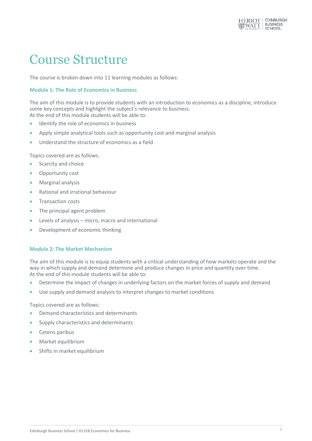

## Course Structure

The course is broken down into 11 learning modules as follows:

#### **Module 1: The Role of Economics in Business**

The aim of this module is to provide students with an introduction to economics as a discipline, introduce some key concepts and highlight the subject's relevance to business. At the end of this module students will be able to:

- Identify the role of economics in business
- Apply simple analytical tools such as opportunity cost and marginal analysis
- Understand the structure of economics as a field

Topics covered are as follows.

- Scarcity and choice
- Opportunity cost
- **•** Marginal analysis
- Rational and irrational behaviour
- Transaction costs
- The principal agent problem
- Levels of analysis micro, macro and international
- Development of economic thinking

#### **Module 2: The Market Mechanism**

The aim of this module is to equip students with a critical understanding of how markets operate and the way in which supply and demand determine and produce changes in price and quantity over time. At the end of this module students will be able to:

- Determine the impact of changes in underlying factors on the market forces of supply and demand
- Use supply and demand analysis to interpret changes to market conditions

Topics covered are as follows:

- **•** Demand characteristics and determinants
- Supply characteristics and determinants
- **•** Ceteris paribus
- Market equilibrium
- **•** Shifts in market equilibrium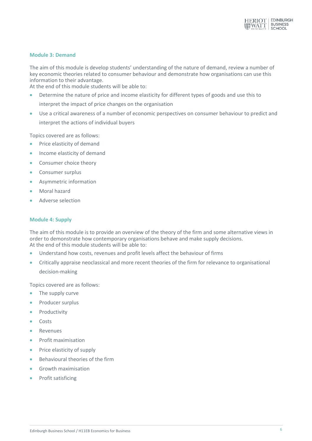

#### **Module 3: Demand**

The aim of this module is develop students' understanding of the nature of demand, review a number of key economic theories related to consumer behaviour and demonstrate how organisations can use this information to their advantage.

At the end of this module students will be able to:

- Determine the nature of price and income elasticity for different types of goods and use this to interpret the impact of price changes on the organisation
- Use a critical awareness of a number of economic perspectives on consumer behaviour to predict and interpret the actions of individual buyers

Topics covered are as follows:

- **•** Price elasticity of demand
- Income elasticity of demand
- Consumer choice theory
- Consumer surplus
- Asymmetric information
- Moral hazard
- Adverse selection

#### **Module 4: Supply**

The aim of this module is to provide an overview of the theory of the firm and some alternative views in order to demonstrate how contemporary organisations behave and make supply decisions. At the end of this module students will be able to:

- Understand how costs, revenues and profit levels affect the behaviour of firms
- Critically appraise neoclassical and more recent theories of the firm for relevance to organisational decision-making

Topics covered are as follows:

- The supply curve
- Producer surplus
- Productivity
- Costs
- **Revenues**
- **•** Profit maximisation
- Price elasticity of supply
- Behavioural theories of the firm
- Growth maximisation
- Profit satisficing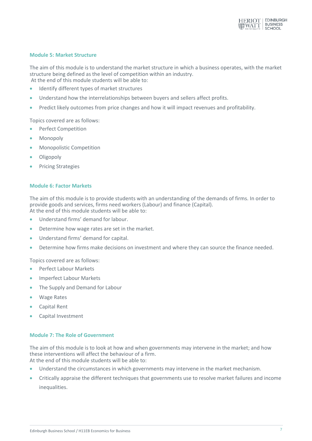

#### **Module 5: Market Structure**

The aim of this module is to understand the market structure in which a business operates, with the market structure being defined as the level of competition within an industry. At the end of this module students will be able to:

- Identify different types of market structures
- Understand how the interrelationships between buyers and sellers affect profits.
- Predict likely outcomes from price changes and how it will impact revenues and profitability.

Topics covered are as follows:

- Perfect Competition
- Monopoly
- Monopolistic Competition
- Oligopoly
- Pricing Strategies

#### **Module 6: Factor Markets**

The aim of this module is to provide students with an understanding of the demands of firms. In order to provide goods and services, firms need workers (Labour) and finance (Capital). At the end of this module students will be able to:

- Understand firms' demand for labour.
- Determine how wage rates are set in the market.
- Understand firms' demand for capital.
- Determine how firms make decisions on investment and where they can source the finance needed.

Topics covered are as follows:

- **•** Perfect Labour Markets
- Imperfect Labour Markets
- The Supply and Demand for Labour
- Wage Rates
- Capital Rent
- Capital Investment

#### **Module 7: The Role of Government**

The aim of this module is to look at how and when governments may intervene in the market; and how these interventions will affect the behaviour of a firm. At the end of this module students will be able to:

- Understand the circumstances in which governments may intervene in the market mechanism.
- Critically appraise the different techniques that governments use to resolve market failures and income inequalities.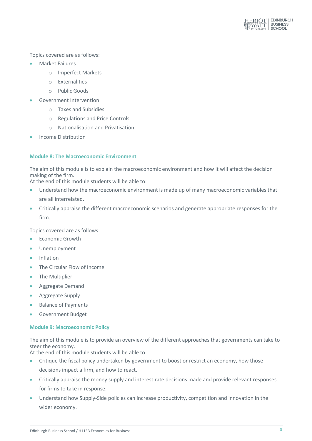

Topics covered are as follows:

- Market Failures
	- o Imperfect Markets
	- o Externalities
	- o Public Goods
- Government Intervention
	- o Taxes and Subsidies
	- o Regulations and Price Controls
	- o Nationalisation and Privatisation
- Income Distribution

#### **Module 8: The Macroeconomic Environment**

The aim of this module is to explain the macroeconomic environment and how it will affect the decision making of the firm.

At the end of this module students will be able to:

- Understand how the macroeconomic environment is made up of many macroeconomic variables that are all interrelated.
- Critically appraise the different macroeconomic scenarios and generate appropriate responses for the firm.

Topics covered are as follows:

- **•** Economic Growth
- Unemployment
- **•** Inflation
- The Circular Flow of Income
- The Multiplier
- **•** Aggregate Demand
- **•** Aggregate Supply
- Balance of Payments
- **Government Budget**

#### **Module 9: Macroeconomic Policy**

The aim of this module is to provide an overview of the different approaches that governments can take to steer the economy.

At the end of this module students will be able to:

- Critique the fiscal policy undertaken by government to boost or restrict an economy, how those decisions impact a firm, and how to react.
- Critically appraise the money supply and interest rate decisions made and provide relevant responses for firms to take in response.
- Understand how Supply-Side policies can increase productivity, competition and innovation in the wider economy.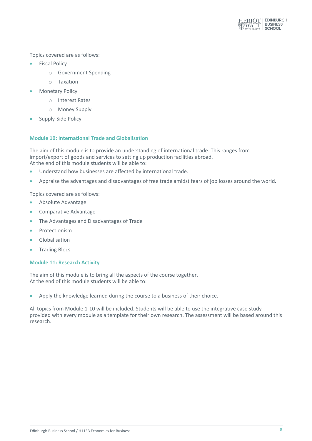

Topics covered are as follows:

- **•** Fiscal Policy
	- o Government Spending
	- o Taxation
- Monetary Policy
	- o Interest Rates
	- o Money Supply
- Supply-Side Policy

#### **Module 10: International Trade and Globalisation**

The aim of this module is to provide an understanding of international trade. This ranges from import/export of goods and services to setting up production facilities abroad. At the end of this module students will be able to:

- Understand how businesses are affected by international trade.
- Appraise the advantages and disadvantages of free trade amidst fears of job losses around the world.

Topics covered are as follows:

- Absolute Advantage
- **•** Comparative Advantage
- The Advantages and Disadvantages of Trade
- Protectionism
- **Globalisation**
- **•** Trading Blocs

#### **Module 11: Research Activity**

The aim of this module is to bring all the aspects of the course together. At the end of this module students will be able to:

Apply the knowledge learned during the course to a business of their choice.

All topics from Module 1-10 will be included. Students will be able to use the integrative case study provided with every module as a template for their own research. The assessment will be based around this research.